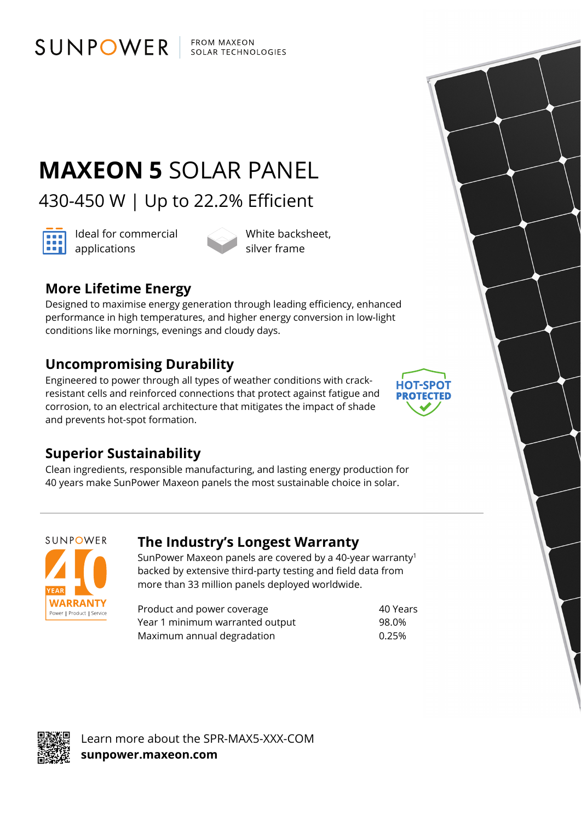FROM MAXEON SOLAR TECHNOLOGIES

# **MAXEON 5** SOLAR PANEL

430-450 W | Up to 22.2% Efficient



Ideal for commercial **and** Ideal for con

White backsheet, silver frame

# **More Lifetime Energy**

SUNPOWER

Designed to maximise energy generation through leading efficiency, enhanced performance in high temperatures, and higher energy conversion in low-light conditions like mornings, evenings and cloudy days.

## **Uncompromising Durability**

Engineered to power through all types of weather conditions with crackresistant cells and reinforced connections that protect against fatigue and corrosion, to an electrical architecture that mitigates the impact of shade and prevents hot-spot formation.



### **Superior Sustainability**

Clean ingredients, responsible manufacturing, and lasting energy production for 40 years make SunPower Maxeon panels the most sustainable choice in solar.



### **The Industry's Longest Warranty**

SunPower Maxeon panels are covered by a 40-year warranty1 backed by extensive third-party testing and field data from more than 33 million panels deployed worldwide.

Product and power coverage example 30 Years Year 1 minimum warranted output 98.0% Maximum annual degradation metal was made to 0.25%



Learn more about the SPR-MAX5-XXX-COM **sunpower.maxeon.com**